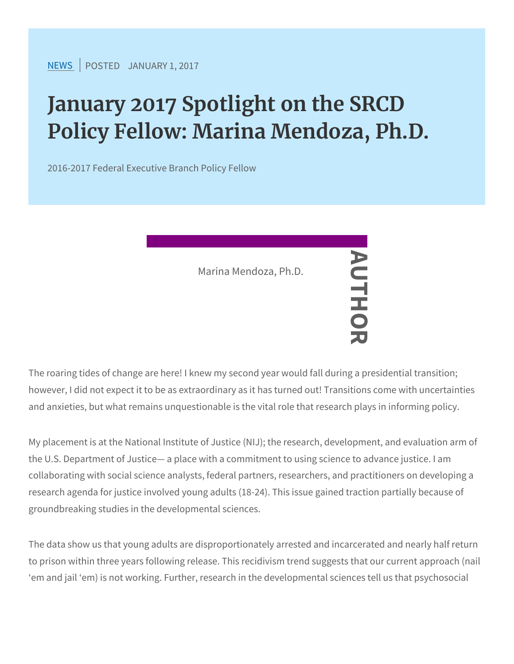## January 2017 Spotlight on the S Policy Fellow: Marina Mendoza,

2016-2017 Federal Executive Branch Policy Fellow

The roaring tides of change are here! I knew my second year would however, I did not expect it to be as extraord trans it has turned and anxieties, but what remains unquestionable is the vital role that Marina Mendoza, Ph.D. AUTHOR

My placement is at the National Institute of Justice (NIJ); the research,  $d$ the U.S. Department of Justice a place with a commitment to using collaborating with social science analysts, federal partners, resear research agenda for justice involved young adults (18-24). This iss groundbreaking studies in the developmental sciences.

The data show us that young adults are disproportionately arrested to prison within three years following release. This recidivism trene em and jail em) is not working. Further, research in the developm